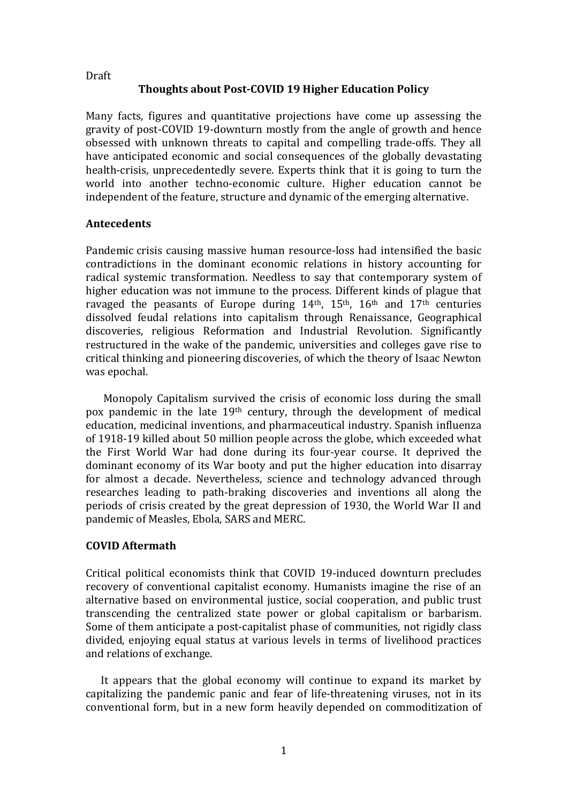# **Thoughts about Post-COVID 19 Higher Education Policy**

Many facts, figures and quantitative projections have come up assessing the gravity of post-COVID 19-downturn mostly from the angle of growth and hence obsessed with unknown threats to capital and compelling trade-offs. They all have anticipated economic and social consequences of the globally devastating health-crisis, unprecedentedly severe. Experts think that it is going to turn the world into another techno-economic culture. Higher education cannot be independent of the feature, structure and dynamic of the emerging alternative.

#### **Antecedents**

Pandemic crisis causing massive human resource-loss had intensified the basic contradictions in the dominant economic relations in history accounting for radical systemic transformation. Needless to say that contemporary system of higher education was not immune to the process. Different kinds of plague that ravaged the peasants of Europe during  $14<sup>th</sup>$ ,  $15<sup>th</sup>$ ,  $16<sup>th</sup>$  and  $17<sup>th</sup>$  centuries dissolved feudal relations into capitalism through Renaissance, Geographical discoveries, religious Reformation and Industrial Revolution. Significantly restructured in the wake of the pandemic, universities and colleges gave rise to critical thinking and pioneering discoveries, of which the theory of Isaac Newton was epochal.

 Monopoly Capitalism survived the crisis of economic loss during the small pox pandemic in the late 19th century, through the development of medical education, medicinal inventions, and pharmaceutical industry. Spanish influenza of 1918-19 killed about 50 million people across the globe, which exceeded what the First World War had done during its four-year course. It deprived the dominant economy of its War booty and put the higher education into disarray for almost a decade. Nevertheless, science and technology advanced through researches leading to path-braking discoveries and inventions all along the periods of crisis created by the great depression of 1930, the World War II and pandemic of Measles, Ebola, SARS and MERC.

#### **COVID Aftermath**

Critical political economists think that COVID 19-induced downturn precludes recovery of conventional capitalist economy. Humanists imagine the rise of an alternative based on environmental justice, social cooperation, and public trust transcending the centralized state power or global capitalism or barbarism. Some of them anticipate a post-capitalist phase of communities, not rigidly class divided, enjoying equal status at various levels in terms of livelihood practices and relations of exchange.

 It appears that the global economy will continue to expand its market by capitalizing the pandemic panic and fear of life-threatening viruses, not in its conventional form, but in a new form heavily depended on commoditization of

**Draft**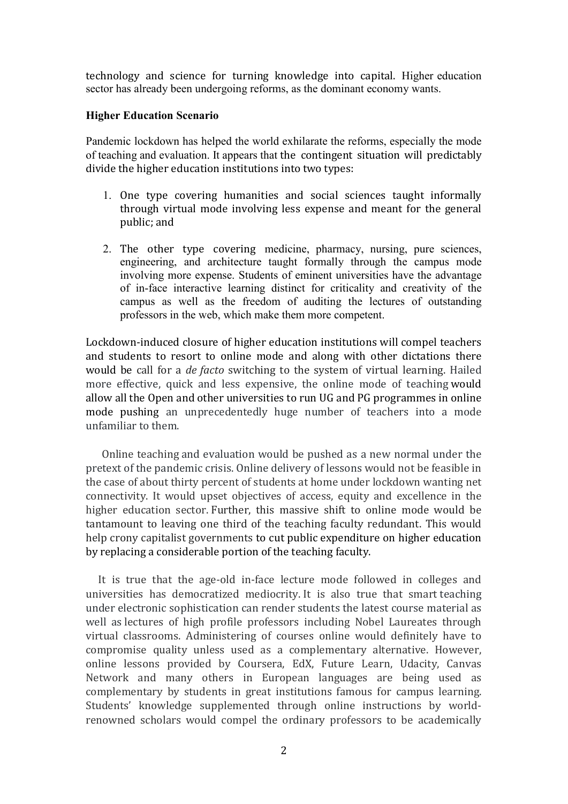technology and science for turning knowledge into capital. Higher education sector has already been undergoing reforms, as the dominant economy wants.

### **Higher Education Scenario**

Pandemic lockdown has helped the world exhilarate the reforms, especially the mode of teaching and evaluation. It appears that the contingent situation will predictably divide the higher education institutions into two types:

- 1. One type covering humanities and social sciences taught informally through virtual mode involving less expense and meant for the general public; and
- 2. The other type covering medicine, pharmacy, nursing, pure sciences, engineering, and architecture taught formally through the campus mode involving more expense. Students of eminent universities have the advantage of in-face interactive learning distinct for criticality and creativity of the campus as well as the freedom of auditing the lectures of outstanding professors in the web, which make them more competent.

Lockdown-induced closure of higher education institutions will compel teachers and students to resort to online mode and along with other dictations there would be call for a *de facto* switching to the system of virtual learning. Hailed more effective, quick and less expensive, the online mode of teaching would allow all the Open and other universities to run UG and PG programmes in online mode pushing an unprecedentedly huge number of teachers into a mode unfamiliar to them.

 Online teaching and evaluation would be pushed as a new normal under the pretext of the pandemic crisis. Online delivery of lessons would not be feasible in the case of about thirty percent of students at home under lockdown wanting net connectivity. It would upset objectives of access, equity and excellence in the higher education sector. Further, this massive shift to online mode would be tantamount to leaving one third of the teaching faculty redundant. This would help crony capitalist governments to cut public expenditure on higher education by replacing a considerable portion of the teaching faculty.

 It is true that the age-old in-face lecture mode followed in colleges and universities has democratized mediocrity. It is also true that smart teaching under electronic sophistication can render students the latest course material as well as lectures of high profile professors including Nobel Laureates through virtual classrooms. Administering of courses online would definitely have to compromise quality unless used as a complementary alternative. However, online lessons provided by Coursera, EdX, Future Learn, Udacity, Canvas Network and many others in European languages are being used as complementary by students in great institutions famous for campus learning. Students' knowledge supplemented through online instructions by worldrenowned scholars would compel the ordinary professors to be academically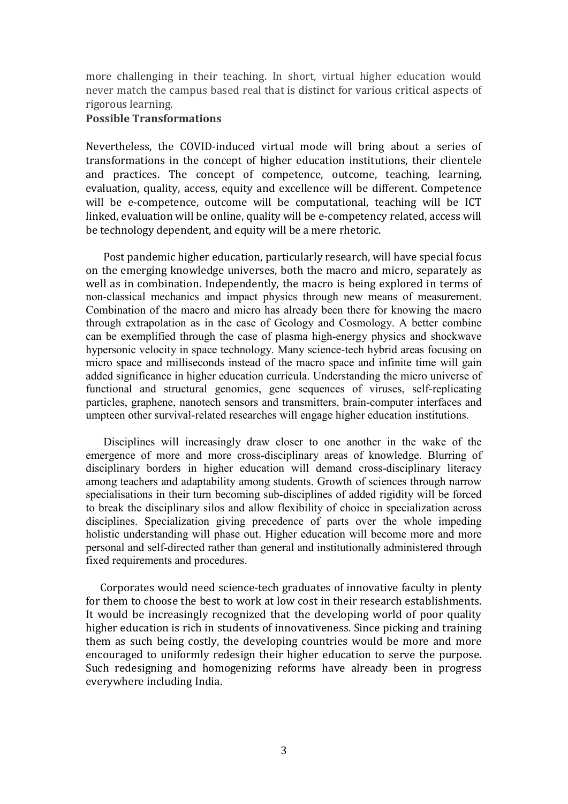more challenging in their teaching. In short, virtual higher education would never match the campus based real that is distinct for various critical aspects of rigorous learning.

### **Possible Transformations**

Nevertheless, the COVID-induced virtual mode will bring about a series of transformations in the concept of higher education institutions, their clientele and practices. The concept of competence, outcome, teaching, learning, evaluation, quality, access, equity and excellence will be different. Competence will be e-competence, outcome will be computational, teaching will be ICT linked, evaluation will be online, quality will be e-competency related, access will be technology dependent, and equity will be a mere rhetoric.

 Post pandemic higher education, particularly research, will have special focus on the emerging knowledge universes, both the macro and micro, separately as well as in combination. Independently, the macro is being explored in terms of non-classical mechanics and impact physics through new means of measurement. Combination of the macro and micro has already been there for knowing the macro through extrapolation as in the case of Geology and Cosmology. A better combine can be exemplified through the case of plasma high-energy physics and shockwave hypersonic velocity in space technology. Many science-tech hybrid areas focusing on micro space and milliseconds instead of the macro space and infinite time will gain added significance in higher education curricula. Understanding the micro universe of functional and structural genomics, gene sequences of viruses, self-replicating particles, graphene, nanotech sensors and transmitters, brain-computer interfaces and umpteen other survival-related researches will engage higher education institutions.

 Disciplines will increasingly draw closer to one another in the wake of the emergence of more and more cross-disciplinary areas of knowledge. Blurring of disciplinary borders in higher education will demand cross-disciplinary literacy among teachers and adaptability among students. Growth of sciences through narrow specialisations in their turn becoming sub-disciplines of added rigidity will be forced to break the disciplinary silos and allow flexibility of choice in specialization across disciplines. Specialization giving precedence of parts over the whole impeding holistic understanding will phase out. Higher education will become more and more personal and self-directed rather than general and institutionally administered through fixed requirements and procedures.

 Corporates would need science-tech graduates of innovative faculty in plenty for them to choose the best to work at low cost in their research establishments. It would be increasingly recognized that the developing world of poor quality higher education is rich in students of innovativeness. Since picking and training them as such being costly, the developing countries would be more and more encouraged to uniformly redesign their higher education to serve the purpose. Such redesigning and homogenizing reforms have already been in progress everywhere including India.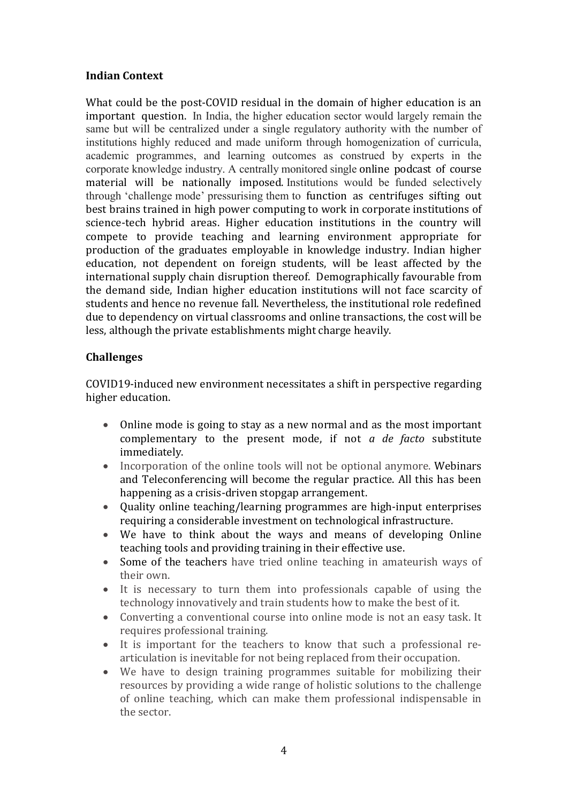# **Indian Context**

What could be the post-COVID residual in the domain of higher education is an important question. In India, the higher education sector would largely remain the same but will be centralized under a single regulatory authority with the number of institutions highly reduced and made uniform through homogenization of curricula, academic programmes, and learning outcomes as construed by experts in the corporate knowledge industry. A centrally monitored single online podcast of course material will be nationally imposed. Institutions would be funded selectively through 'challenge mode' pressurising them to function as centrifuges sifting out best brains trained in high power computing to work in corporate institutions of science-tech hybrid areas. Higher education institutions in the country will compete to provide teaching and learning environment appropriate for production of the graduates employable in knowledge industry. Indian higher education, not dependent on foreign students, will be least affected by the international supply chain disruption thereof. Demographically favourable from the demand side, Indian higher education institutions will not face scarcity of students and hence no revenue fall. Nevertheless, the institutional role redefined due to dependency on virtual classrooms and online transactions, the cost will be less, although the private establishments might charge heavily.

# **Challenges**

COVID19-induced new environment necessitates a shift in perspective regarding higher education.

- Online mode is going to stay as a new normal and as the most important complementary to the present mode, if not *a de facto* substitute immediately.
- Incorporation of the online tools will not be optional anymore. Webinars and Teleconferencing will become the regular practice. All this has been happening as a crisis-driven stopgap arrangement.
- Quality online teaching/learning programmes are high-input enterprises requiring a considerable investment on technological infrastructure.
- We have to think about the ways and means of developing Online teaching tools and providing training in their effective use.
- Some of the teachers have tried online teaching in amateurish ways of their own.
- It is necessary to turn them into professionals capable of using the technology innovatively and train students how to make the best of it.
- Converting a conventional course into online mode is not an easy task. It requires professional training.
- It is important for the teachers to know that such a professional rearticulation is inevitable for not being replaced from their occupation.
- We have to design training programmes suitable for mobilizing their resources by providing a wide range of holistic solutions to the challenge of online teaching, which can make them professional indispensable in the sector.